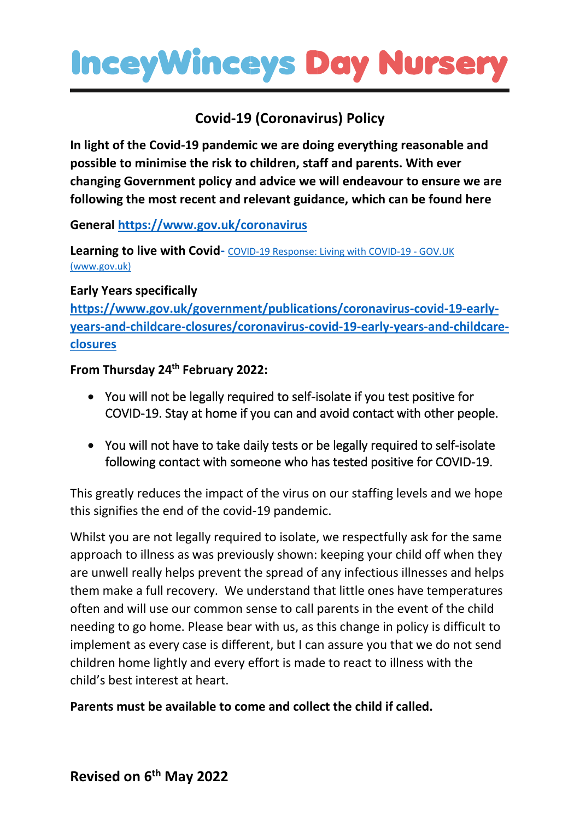## **InceyWinceys Day Nursery**

## **Covid-19 (Coronavirus) Policy**

**In light of the Covid-19 pandemic we are doing everything reasonable and possible to minimise the risk to children, staff and parents. With ever changing Government policy and advice we will endeavour to ensure we are following the most recent and relevant guidance, which can be found here**

**General<https://www.gov.uk/coronavirus>**

**Learning to live with Covid-** [COVID-19 Response: Living with COVID-19 -](https://www.gov.uk/government/publications/covid-19-response-living-with-covid-19) GOV.UK [\(www.gov.uk\)](https://www.gov.uk/government/publications/covid-19-response-living-with-covid-19)

## **Early Years specifically**

**[https://www.gov.uk/government/publications/coronavirus-covid-19-early](https://www.gov.uk/government/publications/coronavirus-covid-19-early-years-and-childcare-closures/coronavirus-covid-19-early-years-and-childcare-closures)[years-and-childcare-closures/coronavirus-covid-19-early-years-and-childcare](https://www.gov.uk/government/publications/coronavirus-covid-19-early-years-and-childcare-closures/coronavirus-covid-19-early-years-and-childcare-closures)[closures](https://www.gov.uk/government/publications/coronavirus-covid-19-early-years-and-childcare-closures/coronavirus-covid-19-early-years-and-childcare-closures)**

**From Thursday 24th February 2022:**

- You will not be legally required to self-isolate if you test positive for COVID-19. Stay at home if you can and avoid contact with other people.
- You will not have to take daily tests or be legally required to self-isolate following contact with someone who has tested positive for COVID-19.

This greatly reduces the impact of the virus on our staffing levels and we hope this signifies the end of the covid-19 pandemic.

Whilst you are not legally required to isolate, we respectfully ask for the same approach to illness as was previously shown: keeping your child off when they are unwell really helps prevent the spread of any infectious illnesses and helps them make a full recovery. We understand that little ones have temperatures often and will use our common sense to call parents in the event of the child needing to go home. Please bear with us, as this change in policy is difficult to implement as every case is different, but I can assure you that we do not send children home lightly and every effort is made to react to illness with the child's best interest at heart.

**Parents must be available to come and collect the child if called.**